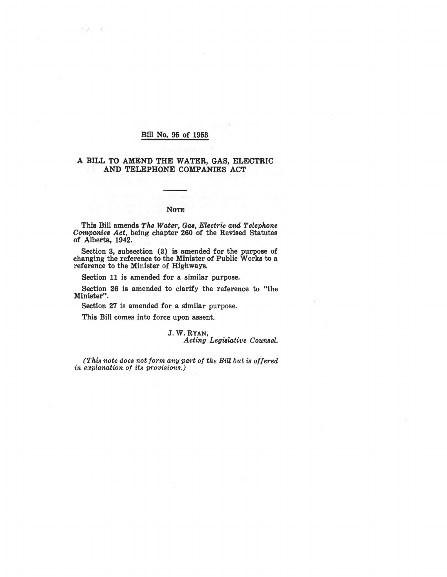### Bill No. 95 of 1953

リン 工

### A BILL TO AMEND THE WATER, GAS, ELECTRIC AND TELEPHONE COMPANIES ACT

#### NoTE

This Bill amends *The Water, Gas, Electric and Telephone Companies Act,* being chapter 260 of the Revised Statutes of Alberta, 1942.

Section 3, subsection (3) is amended for the purpose of changing the reference to the Minister of Public Works to a reference to the Minister of Highways.

Section 11 is amended for a similar purpose.

Section 26 is amended to clarify the reference to "the Minister".

Section 27 is amended for a similar purpose.

This Bill comes into force upon assent.

J.W.RYAN, *Acting Legislative Counsel.* 

*(This note does not form any part of the Bill but is offered in explanation of its provisions.)*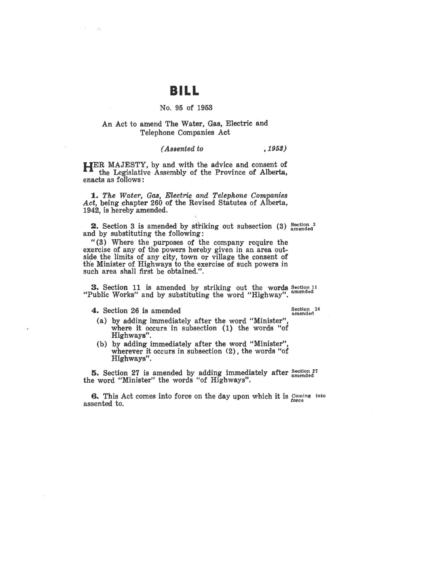## **BILL**

#### No. 95 of 1953

### An Act to amend The Water, Gas, Electric and Telephone Companies Act

### *(Assented to* , 1953)

**HER** MAJESTY, by and with the advice and consent of the Legislative Assembly of the Province of Alberta, enacts as follows :

**1.** *The Water,* Gas, *Electric and Telephone Companies*  Act, being chapter 260 of the Revised Statutes of Alberta, 1942, is hereby amended.

**2.** Section 3 is amended by striking out subsection  $(3)$  section 3 and by substituting the following:

"(3) Where the purposes of the company require the exercise of any of the powers hereby given in an area outside the limits of any city, town or village the consent of the Minister of Highways to the exercise of such powers in such area shall first be obtained.".

3. Section 11 is amended by striking out the words  $S_{\text{section}}$ <sup>11</sup> "Public Works" and by substituting the word "Highway".

**4.** Section 26 is amended

Section 26 amended

- (a) by adding immediately after the word "Minister", where it occurs in subsection (1) the words "of Highways".
- (b) by adding immediately after the word "Minister", wherever it occurs in subsection (2), the words "of Highways".

**5.** Section 27 is amended by adding immediately after <sup>Section 27</sub></sup> the word "Minister" the words "of Highways".

**6.** This Act comes into force on the day upon which it is Coming into assented to.